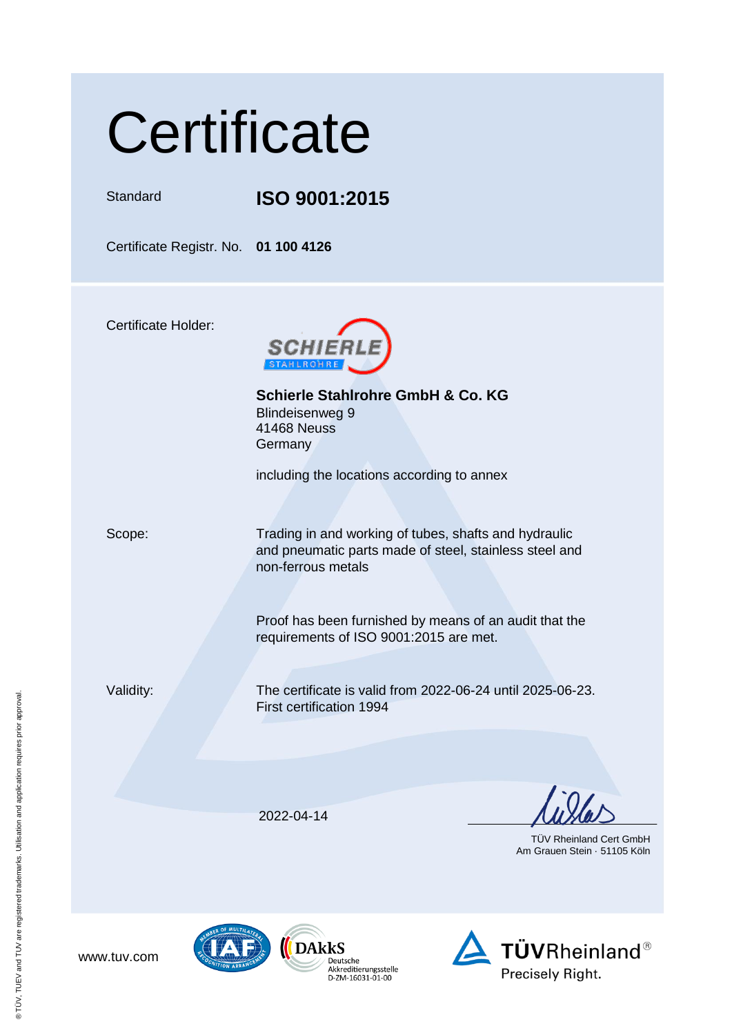## **Certificate**

Standard **ISO 9001:2015**

Certificate Registr. No. **01 100 4126**

Certificate Holder:



**Schierle Stahlrohre GmbH & Co. KG** Blindeisenweg 9 41468 Neuss **Germany** 

including the locations according to annex

Scope: Trading in and working of tubes, shafts and hydraulic and pneumatic parts made of steel, stainless steel and non-ferrous metals

> Proof has been furnished by means of an audit that the requirements of ISO 9001:2015 are met.

Validity: The certificate is valid from 2022-06-24 until 2025-06-23. First certification 1994

2022-04-14

 TÜV Rheinland Cert GmbH Am Grauen Stein · 51105 Köln

www.tuv.com